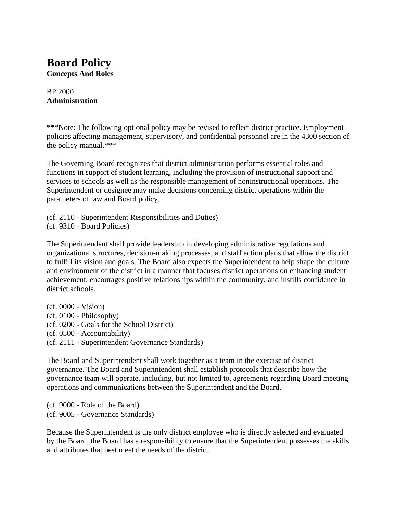### **Board Policy Concepts And Roles**

BP 2000 **Administration**

\*\*\*Note: The following optional policy may be revised to reflect district practice. Employment policies affecting management, supervisory, and confidential personnel are in the 4300 section of the policy manual.\*\*\*

The Governing Board recognizes that district administration performs essential roles and functions in support of student learning, including the provision of instructional support and services to schools as well as the responsible management of noninstructional operations. The Superintendent or designee may make decisions concerning district operations within the parameters of law and Board policy.

(cf. 2110 - Superintendent Responsibilities and Duties) (cf. 9310 - Board Policies)

The Superintendent shall provide leadership in developing administrative regulations and organizational structures, decision-making processes, and staff action plans that allow the district to fulfill its vision and goals. The Board also expects the Superintendent to help shape the culture and environment of the district in a manner that focuses district operations on enhancing student achievement, encourages positive relationships within the community, and instills confidence in district schools.

(cf. 0000 - Vision) (cf. 0100 - Philosophy) (cf. 0200 - Goals for the School District) (cf. 0500 - Accountability) (cf. 2111 - Superintendent Governance Standards)

The Board and Superintendent shall work together as a team in the exercise of district governance. The Board and Superintendent shall establish protocols that describe how the governance team will operate, including, but not limited to, agreements regarding Board meeting operations and communications between the Superintendent and the Board.

(cf. 9000 - Role of the Board) (cf. 9005 - Governance Standards)

Because the Superintendent is the only district employee who is directly selected and evaluated by the Board, the Board has a responsibility to ensure that the Superintendent possesses the skills and attributes that best meet the needs of the district.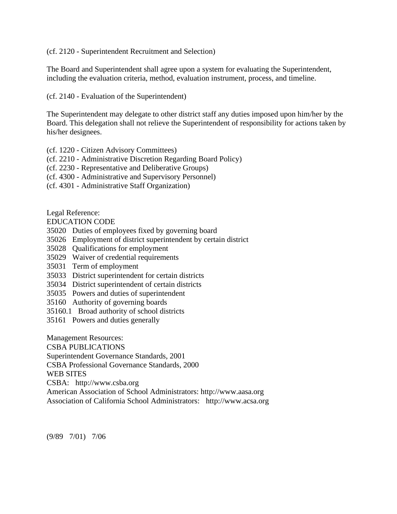(cf. 2120 - Superintendent Recruitment and Selection)

The Board and Superintendent shall agree upon a system for evaluating the Superintendent, including the evaluation criteria, method, evaluation instrument, process, and timeline.

(cf. 2140 - Evaluation of the Superintendent)

The Superintendent may delegate to other district staff any duties imposed upon him/her by the Board. This delegation shall not relieve the Superintendent of responsibility for actions taken by his/her designees.

- (cf. 1220 Citizen Advisory Committees)
- (cf. 2210 Administrative Discretion Regarding Board Policy)
- (cf. 2230 Representative and Deliberative Groups)
- (cf. 4300 Administrative and Supervisory Personnel)
- (cf. 4301 Administrative Staff Organization)

Legal Reference:

EDUCATION CODE

- 35020 Duties of employees fixed by governing board
- 35026 Employment of district superintendent by certain district
- 35028 Qualifications for employment
- 35029 Waiver of credential requirements
- 35031 Term of employment
- 35033 District superintendent for certain districts
- 35034 District superintendent of certain districts
- 35035 Powers and duties of superintendent
- 35160 Authority of governing boards
- 35160.1 Broad authority of school districts
- 35161 Powers and duties generally

Management Resources:

CSBA PUBLICATIONS

Superintendent Governance Standards, 2001

CSBA Professional Governance Standards, 2000

WEB SITES

CSBA: http://www.csba.org

American Association of School Administrators: http://www.aasa.org

Association of California School Administrators: http://www.acsa.org

(9/89 7/01) 7/06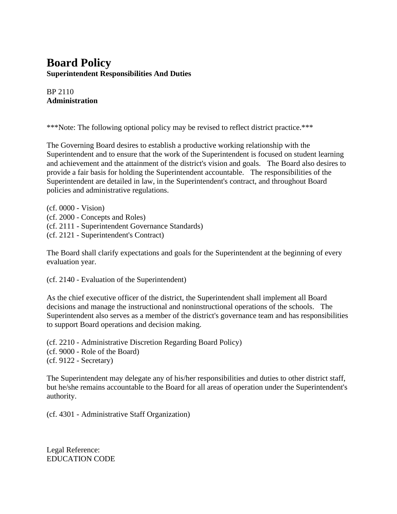# **Board Policy Superintendent Responsibilities And Duties**

BP 2110 **Administration**

\*\*\*Note: The following optional policy may be revised to reflect district practice.\*\*\*

The Governing Board desires to establish a productive working relationship with the Superintendent and to ensure that the work of the Superintendent is focused on student learning and achievement and the attainment of the district's vision and goals. The Board also desires to provide a fair basis for holding the Superintendent accountable. The responsibilities of the Superintendent are detailed in law, in the Superintendent's contract, and throughout Board policies and administrative regulations.

(cf. 0000 - Vision) (cf. 2000 - Concepts and Roles) (cf. 2111 - Superintendent Governance Standards) (cf. 2121 - Superintendent's Contract)

The Board shall clarify expectations and goals for the Superintendent at the beginning of every evaluation year.

(cf. 2140 - Evaluation of the Superintendent)

As the chief executive officer of the district, the Superintendent shall implement all Board decisions and manage the instructional and noninstructional operations of the schools. The Superintendent also serves as a member of the district's governance team and has responsibilities to support Board operations and decision making.

(cf. 2210 - Administrative Discretion Regarding Board Policy) (cf. 9000 - Role of the Board) (cf. 9122 - Secretary)

The Superintendent may delegate any of his/her responsibilities and duties to other district staff, but he/she remains accountable to the Board for all areas of operation under the Superintendent's authority.

(cf. 4301 - Administrative Staff Organization)

Legal Reference: EDUCATION CODE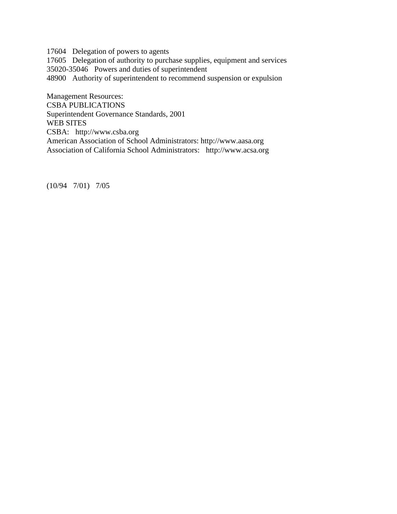17604 Delegation of powers to agents

17605 Delegation of authority to purchase supplies, equipment and services

35020-35046 Powers and duties of superintendent

48900 Authority of superintendent to recommend suspension or expulsion

Management Resources: CSBA PUBLICATIONS Superintendent Governance Standards, 2001 WEB SITES CSBA: http://www.csba.org American Association of School Administrators: http://www.aasa.org Association of California School Administrators: http://www.acsa.org

(10/94 7/01) 7/05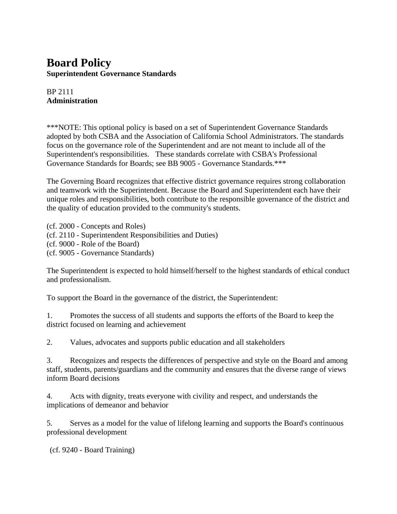### **Board Policy Superintendent Governance Standards**

BP 2111 **Administration**

\*\*\*NOTE: This optional policy is based on a set of Superintendent Governance Standards adopted by both CSBA and the Association of California School Administrators. The standards focus on the governance role of the Superintendent and are not meant to include all of the Superintendent's responsibilities. These standards correlate with CSBA's Professional Governance Standards for Boards; see BB 9005 - Governance Standards.\*\*\*

The Governing Board recognizes that effective district governance requires strong collaboration and teamwork with the Superintendent. Because the Board and Superintendent each have their unique roles and responsibilities, both contribute to the responsible governance of the district and the quality of education provided to the community's students.

(cf. 2000 - Concepts and Roles)

- (cf. 2110 Superintendent Responsibilities and Duties)
- (cf. 9000 Role of the Board)
- (cf. 9005 Governance Standards)

The Superintendent is expected to hold himself/herself to the highest standards of ethical conduct and professionalism.

To support the Board in the governance of the district, the Superintendent:

1. Promotes the success of all students and supports the efforts of the Board to keep the district focused on learning and achievement

2. Values, advocates and supports public education and all stakeholders

3. Recognizes and respects the differences of perspective and style on the Board and among staff, students, parents/guardians and the community and ensures that the diverse range of views inform Board decisions

4. Acts with dignity, treats everyone with civility and respect, and understands the implications of demeanor and behavior

5. Serves as a model for the value of lifelong learning and supports the Board's continuous professional development

(cf. 9240 - Board Training)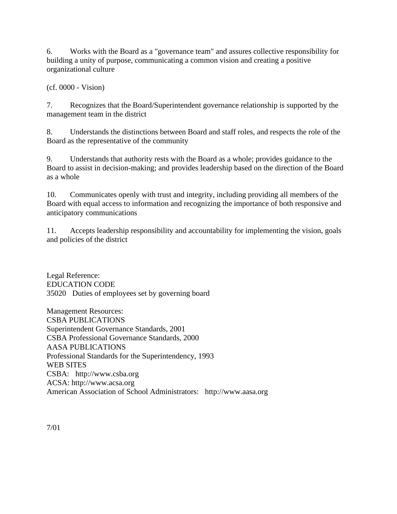6. Works with the Board as a "governance team" and assures collective responsibility for building a unity of purpose, communicating a common vision and creating a positive organizational culture

(cf. 0000 - Vision)

7. Recognizes that the Board/Superintendent governance relationship is supported by the management team in the district

8. Understands the distinctions between Board and staff roles, and respects the role of the Board as the representative of the community

9. Understands that authority rests with the Board as a whole; provides guidance to the Board to assist in decision-making; and provides leadership based on the direction of the Board as a whole

10. Communicates openly with trust and integrity, including providing all members of the Board with equal access to information and recognizing the importance of both responsive and anticipatory communications

11. Accepts leadership responsibility and accountability for implementing the vision, goals and policies of the district

Legal Reference: EDUCATION CODE 35020 Duties of employees set by governing board

Management Resources: CSBA PUBLICATIONS Superintendent Governance Standards, 2001 CSBA Professional Governance Standards, 2000 AASA PUBLICATIONS Professional Standards for the Superintendency, 1993 WEB SITES CSBA: http://www.csba.org ACSA: http://www.acsa.org American Association of School Administrators: http://www.aasa.org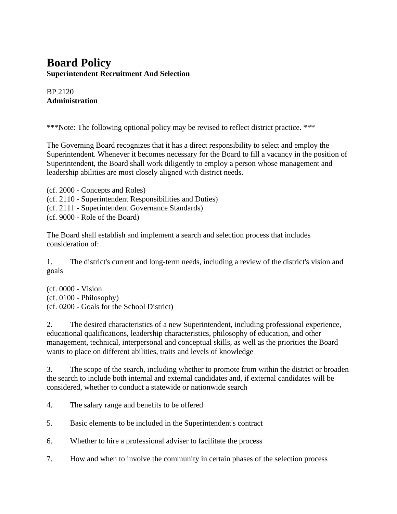# **Board Policy Superintendent Recruitment And Selection**

BP 2120 **Administration**

\*\*\*Note: The following optional policy may be revised to reflect district practice. \*\*\*

The Governing Board recognizes that it has a direct responsibility to select and employ the Superintendent. Whenever it becomes necessary for the Board to fill a vacancy in the position of Superintendent, the Board shall work diligently to employ a person whose management and leadership abilities are most closely aligned with district needs.

(cf. 2000 - Concepts and Roles) (cf. 2110 - Superintendent Responsibilities and Duties) (cf. 2111 - Superintendent Governance Standards) (cf. 9000 - Role of the Board)

The Board shall establish and implement a search and selection process that includes consideration of:

1. The district's current and long-term needs, including a review of the district's vision and goals

(cf. 0000 - Vision (cf. 0100 - Philosophy) (cf. 0200 - Goals for the School District)

2. The desired characteristics of a new Superintendent, including professional experience, educational qualifications, leadership characteristics, philosophy of education, and other management, technical, interpersonal and conceptual skills, as well as the priorities the Board wants to place on different abilities, traits and levels of knowledge

3. The scope of the search, including whether to promote from within the district or broaden the search to include both internal and external candidates and, if external candidates will be considered, whether to conduct a statewide or nationwide search

4. The salary range and benefits to be offered

5. Basic elements to be included in the Superintendent's contract

6. Whether to hire a professional adviser to facilitate the process

7. How and when to involve the community in certain phases of the selection process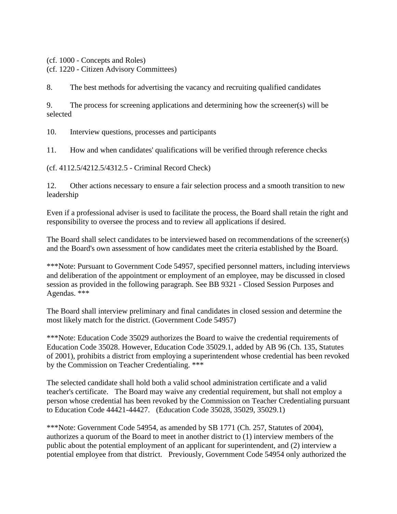(cf. 1000 - Concepts and Roles)

(cf. 1220 - Citizen Advisory Committees)

8. The best methods for advertising the vacancy and recruiting qualified candidates

9. The process for screening applications and determining how the screener(s) will be selected

10. Interview questions, processes and participants

11. How and when candidates' qualifications will be verified through reference checks

(cf. 4112.5/4212.5/4312.5 - Criminal Record Check)

12. Other actions necessary to ensure a fair selection process and a smooth transition to new leadership

Even if a professional adviser is used to facilitate the process, the Board shall retain the right and responsibility to oversee the process and to review all applications if desired.

The Board shall select candidates to be interviewed based on recommendations of the screener(s) and the Board's own assessment of how candidates meet the criteria established by the Board.

\*\*\*Note: Pursuant to Government Code 54957, specified personnel matters, including interviews and deliberation of the appointment or employment of an employee, may be discussed in closed session as provided in the following paragraph. See BB 9321 - Closed Session Purposes and Agendas. \*\*\*

The Board shall interview preliminary and final candidates in closed session and determine the most likely match for the district. (Government Code 54957)

\*\*\*Note: Education Code 35029 authorizes the Board to waive the credential requirements of Education Code 35028. However, Education Code 35029.1, added by AB 96 (Ch. 135, Statutes of 2001), prohibits a district from employing a superintendent whose credential has been revoked by the Commission on Teacher Credentialing. \*\*\*

The selected candidate shall hold both a valid school administration certificate and a valid teacher's certificate. The Board may waive any credential requirement, but shall not employ a person whose credential has been revoked by the Commission on Teacher Credentialing pursuant to Education Code 44421-44427. (Education Code 35028, 35029, 35029.1)

\*\*\*Note: Government Code 54954, as amended by SB 1771 (Ch. 257, Statutes of 2004), authorizes a quorum of the Board to meet in another district to (1) interview members of the public about the potential employment of an applicant for superintendent, and (2) interview a potential employee from that district. Previously, Government Code 54954 only authorized the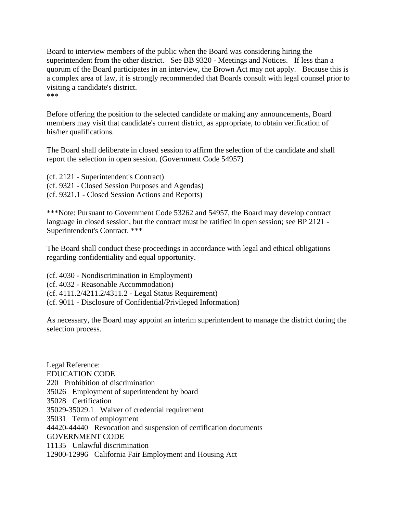Board to interview members of the public when the Board was considering hiring the superintendent from the other district. See BB 9320 - Meetings and Notices. If less than a quorum of the Board participates in an interview, the Brown Act may not apply. Because this is a complex area of law, it is strongly recommended that Boards consult with legal counsel prior to visiting a candidate's district. \*\*\*

Before offering the position to the selected candidate or making any announcements, Board members may visit that candidate's current district, as appropriate, to obtain verification of his/her qualifications.

The Board shall deliberate in closed session to affirm the selection of the candidate and shall report the selection in open session. (Government Code 54957)

(cf. 2121 - Superintendent's Contract) (cf. 9321 - Closed Session Purposes and Agendas) (cf. 9321.1 - Closed Session Actions and Reports)

\*\*\*Note: Pursuant to Government Code 53262 and 54957, the Board may develop contract language in closed session, but the contract must be ratified in open session; see BP 2121 - Superintendent's Contract. \*\*\*

The Board shall conduct these proceedings in accordance with legal and ethical obligations regarding confidentiality and equal opportunity.

(cf. 4030 - Nondiscrimination in Employment) (cf. 4032 - Reasonable Accommodation) (cf. 4111.2/4211.2/4311.2 - Legal Status Requirement) (cf. 9011 - Disclosure of Confidential/Privileged Information)

As necessary, the Board may appoint an interim superintendent to manage the district during the selection process.

Legal Reference: EDUCATION CODE 220 Prohibition of discrimination 35026 Employment of superintendent by board 35028 Certification 35029-35029.1 Waiver of credential requirement 35031 Term of employment 44420-44440 Revocation and suspension of certification documents GOVERNMENT CODE 11135 Unlawful discrimination 12900-12996 California Fair Employment and Housing Act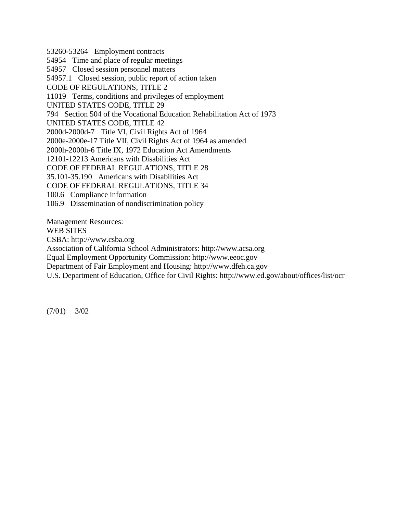53260-53264 Employment contracts 54954 Time and place of regular meetings 54957 Closed session personnel matters 54957.1 Closed session, public report of action taken CODE OF REGULATIONS, TITLE 2 11019 Terms, conditions and privileges of employment UNITED STATES CODE, TITLE 29 794 Section 504 of the Vocational Education Rehabilitation Act of 1973 UNITED STATES CODE, TITLE 42 2000d-2000d-7 Title VI, Civil Rights Act of 1964 2000e-2000e-17 Title VII, Civil Rights Act of 1964 as amended 2000h-2000h-6 Title IX, 1972 Education Act Amendments 12101-12213 Americans with Disabilities Act CODE OF FEDERAL REGULATIONS, TITLE 28 35.101-35.190 Americans with Disabilities Act CODE OF FEDERAL REGULATIONS, TITLE 34 100.6 Compliance information 106.9 Dissemination of nondiscrimination policy Management Resources: WEB SITES

CSBA: http://www.csba.org

Association of California School Administrators: http://www.acsa.org

Equal Employment Opportunity Commission: http://www.eeoc.gov

Department of Fair Employment and Housing: http://www.dfeh.ca.gov

U.S. Department of Education, Office for Civil Rights: http://www.ed.gov/about/offices/list/ocr

(7/01) 3/02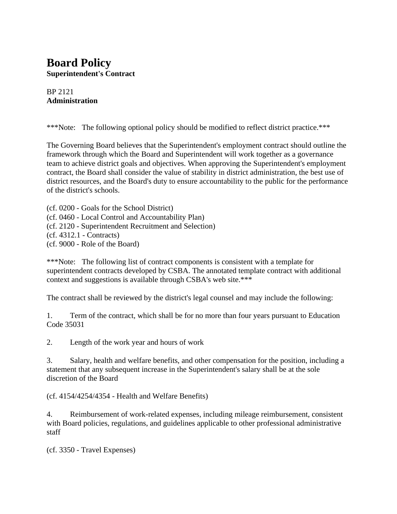# **Board Policy Superintendent's Contract**

#### BP 2121 **Administration**

\*\*\*Note: The following optional policy should be modified to reflect district practice.\*\*\*

The Governing Board believes that the Superintendent's employment contract should outline the framework through which the Board and Superintendent will work together as a governance team to achieve district goals and objectives. When approving the Superintendent's employment contract, the Board shall consider the value of stability in district administration, the best use of district resources, and the Board's duty to ensure accountability to the public for the performance of the district's schools.

(cf. 0200 - Goals for the School District) (cf. 0460 - Local Control and Accountability Plan) (cf. 2120 - Superintendent Recruitment and Selection) (cf. 4312.1 - Contracts) (cf. 9000 - Role of the Board)

\*\*\*Note: The following list of contract components is consistent with a template for superintendent contracts developed by CSBA. The annotated template contract with additional context and suggestions is available through CSBA's web site.\*\*\*

The contract shall be reviewed by the district's legal counsel and may include the following:

1. Term of the contract, which shall be for no more than four years pursuant to Education Code 35031

2. Length of the work year and hours of work

3. Salary, health and welfare benefits, and other compensation for the position, including a statement that any subsequent increase in the Superintendent's salary shall be at the sole discretion of the Board

(cf. 4154/4254/4354 - Health and Welfare Benefits)

4. Reimbursement of work-related expenses, including mileage reimbursement, consistent with Board policies, regulations, and guidelines applicable to other professional administrative staff

(cf. 3350 - Travel Expenses)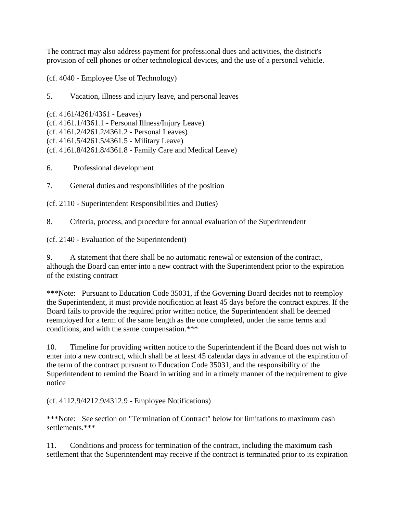The contract may also address payment for professional dues and activities, the district's provision of cell phones or other technological devices, and the use of a personal vehicle.

(cf. 4040 - Employee Use of Technology)

5. Vacation, illness and injury leave, and personal leaves

(cf. 4161/4261/4361 - Leaves) (cf. 4161.1/4361.1 - Personal Illness/Injury Leave) (cf. 4161.2/4261.2/4361.2 - Personal Leaves) (cf. 4161.5/4261.5/4361.5 - Military Leave) (cf. 4161.8/4261.8/4361.8 - Family Care and Medical Leave)

- 6. Professional development
- 7. General duties and responsibilities of the position
- (cf. 2110 Superintendent Responsibilities and Duties)
- 8. Criteria, process, and procedure for annual evaluation of the Superintendent

(cf. 2140 - Evaluation of the Superintendent)

9. A statement that there shall be no automatic renewal or extension of the contract, although the Board can enter into a new contract with the Superintendent prior to the expiration of the existing contract

\*\*\*Note: Pursuant to Education Code 35031, if the Governing Board decides not to reemploy the Superintendent, it must provide notification at least 45 days before the contract expires. If the Board fails to provide the required prior written notice, the Superintendent shall be deemed reemployed for a term of the same length as the one completed, under the same terms and conditions, and with the same compensation.\*\*\*

10. Timeline for providing written notice to the Superintendent if the Board does not wish to enter into a new contract, which shall be at least 45 calendar days in advance of the expiration of the term of the contract pursuant to Education Code 35031, and the responsibility of the Superintendent to remind the Board in writing and in a timely manner of the requirement to give notice

(cf. 4112.9/4212.9/4312.9 - Employee Notifications)

\*\*\*Note: See section on "Termination of Contract" below for limitations to maximum cash settlements.\*\*\*

11. Conditions and process for termination of the contract, including the maximum cash settlement that the Superintendent may receive if the contract is terminated prior to its expiration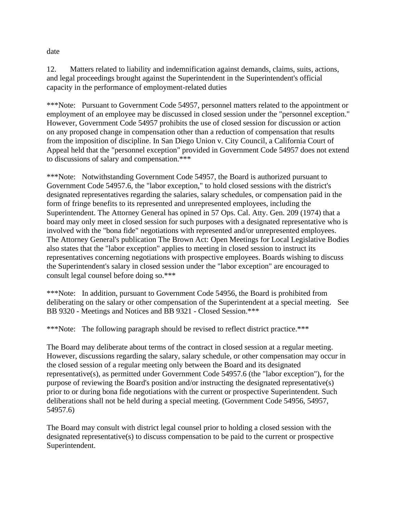date

12. Matters related to liability and indemnification against demands, claims, suits, actions, and legal proceedings brought against the Superintendent in the Superintendent's official capacity in the performance of employment-related duties

\*\*\*Note: Pursuant to Government Code 54957, personnel matters related to the appointment or employment of an employee may be discussed in closed session under the "personnel exception." However, Government Code 54957 prohibits the use of closed session for discussion or action on any proposed change in compensation other than a reduction of compensation that results from the imposition of discipline. In San Diego Union v. City Council, a California Court of Appeal held that the "personnel exception" provided in Government Code 54957 does not extend to discussions of salary and compensation.\*\*\*

\*\*\*Note: Notwithstanding Government Code 54957, the Board is authorized pursuant to Government Code 54957.6, the "labor exception," to hold closed sessions with the district's designated representatives regarding the salaries, salary schedules, or compensation paid in the form of fringe benefits to its represented and unrepresented employees, including the Superintendent. The Attorney General has opined in 57 Ops. Cal. Atty. Gen. 209 (1974) that a board may only meet in closed session for such purposes with a designated representative who is involved with the "bona fide" negotiations with represented and/or unrepresented employees. The Attorney General's publication The Brown Act: Open Meetings for Local Legislative Bodies also states that the "labor exception" applies to meeting in closed session to instruct its representatives concerning negotiations with prospective employees. Boards wishing to discuss the Superintendent's salary in closed session under the "labor exception" are encouraged to consult legal counsel before doing so.\*\*\*

\*\*\*Note: In addition, pursuant to Government Code 54956, the Board is prohibited from deliberating on the salary or other compensation of the Superintendent at a special meeting. See BB 9320 - Meetings and Notices and BB 9321 - Closed Session.\*\*\*

\*\*\*Note: The following paragraph should be revised to reflect district practice.\*\*\*

The Board may deliberate about terms of the contract in closed session at a regular meeting. However, discussions regarding the salary, salary schedule, or other compensation may occur in the closed session of a regular meeting only between the Board and its designated representative(s), as permitted under Government Code 54957.6 (the "labor exception"), for the purpose of reviewing the Board's position and/or instructing the designated representative(s) prior to or during bona fide negotiations with the current or prospective Superintendent. Such deliberations shall not be held during a special meeting. (Government Code 54956, 54957, 54957.6)

The Board may consult with district legal counsel prior to holding a closed session with the designated representative(s) to discuss compensation to be paid to the current or prospective Superintendent.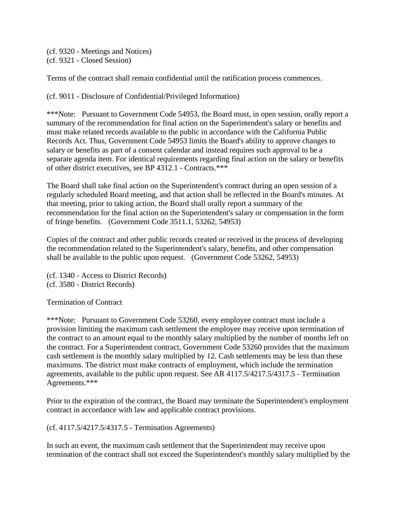(cf. 9320 - Meetings and Notices) (cf. 9321 - Closed Session)

Terms of the contract shall remain confidential until the ratification process commences.

(cf. 9011 - Disclosure of Confidential/Privileged Information)

\*\*\*Note: Pursuant to Government Code 54953, the Board must, in open session, orally report a summary of the recommendation for final action on the Superintendent's salary or benefits and must make related records available to the public in accordance with the California Public Records Act. Thus, Government Code 54953 limits the Board's ability to approve changes to salary or benefits as part of a consent calendar and instead requires such approval to be a separate agenda item. For identical requirements regarding final action on the salary or benefits of other district executives, see BP 4312.1 - Contracts.\*\*\*

The Board shall take final action on the Superintendent's contract during an open session of a regularly scheduled Board meeting, and that action shall be reflected in the Board's minutes. At that meeting, prior to taking action, the Board shall orally report a summary of the recommendation for the final action on the Superintendent's salary or compensation in the form of fringe benefits. (Government Code 3511.1, 53262, 54953)

Copies of the contract and other public records created or received in the process of developing the recommendation related to the Superintendent's salary, benefits, and other compensation shall be available to the public upon request. (Government Code 53262, 54953)

(cf. 1340 - Access to District Records) (cf. 3580 - District Records)

Termination of Contract

\*\*\*Note: Pursuant to Government Code 53260, every employee contract must include a provision limiting the maximum cash settlement the employee may receive upon termination of the contract to an amount equal to the monthly salary multiplied by the number of months left on the contract. For a Superintendent contract, Government Code 53260 provides that the maximum cash settlement is the monthly salary multiplied by 12. Cash settlements may be less than these maximums. The district must make contracts of employment, which include the termination agreements, available to the public upon request. See AR 4117.5/4217.5/4317.5 - Termination Agreements.\*\*\*

Prior to the expiration of the contract, the Board may terminate the Superintendent's employment contract in accordance with law and applicable contract provisions.

(cf. 4117.5/4217.5/4317.5 - Termination Agreements)

In such an event, the maximum cash settlement that the Superintendent may receive upon termination of the contract shall not exceed the Superintendent's monthly salary multiplied by the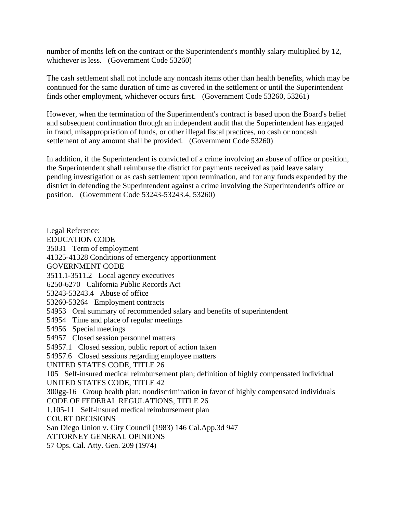number of months left on the contract or the Superintendent's monthly salary multiplied by 12, whichever is less. (Government Code 53260)

The cash settlement shall not include any noncash items other than health benefits, which may be continued for the same duration of time as covered in the settlement or until the Superintendent finds other employment, whichever occurs first. (Government Code 53260, 53261)

However, when the termination of the Superintendent's contract is based upon the Board's belief and subsequent confirmation through an independent audit that the Superintendent has engaged in fraud, misappropriation of funds, or other illegal fiscal practices, no cash or noncash settlement of any amount shall be provided. (Government Code 53260)

In addition, if the Superintendent is convicted of a crime involving an abuse of office or position, the Superintendent shall reimburse the district for payments received as paid leave salary pending investigation or as cash settlement upon termination, and for any funds expended by the district in defending the Superintendent against a crime involving the Superintendent's office or position. (Government Code 53243-53243.4, 53260)

Legal Reference: EDUCATION CODE 35031 Term of employment 41325-41328 Conditions of emergency apportionment GOVERNMENT CODE 3511.1-3511.2 Local agency executives 6250-6270 California Public Records Act 53243-53243.4 Abuse of office 53260-53264 Employment contracts 54953 Oral summary of recommended salary and benefits of superintendent 54954 Time and place of regular meetings 54956 Special meetings 54957 Closed session personnel matters 54957.1 Closed session, public report of action taken 54957.6 Closed sessions regarding employee matters UNITED STATES CODE, TITLE 26 105 Self-insured medical reimbursement plan; definition of highly compensated individual UNITED STATES CODE, TITLE 42 300gg-16 Group health plan; nondiscrimination in favor of highly compensated individuals CODE OF FEDERAL REGULATIONS, TITLE 26 1.105-11 Self-insured medical reimbursement plan COURT DECISIONS San Diego Union v. City Council (1983) 146 Cal.App.3d 947 ATTORNEY GENERAL OPINIONS 57 Ops. Cal. Atty. Gen. 209 (1974)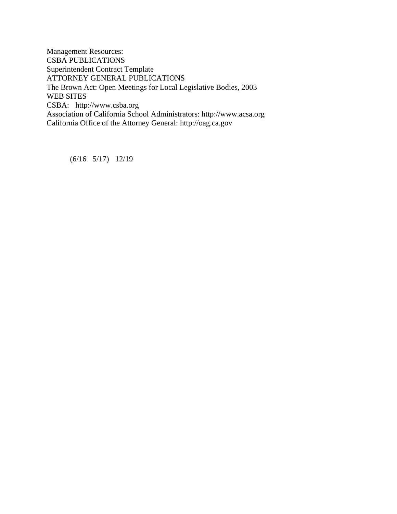Management Resources: CSBA PUBLICATIONS Superintendent Contract Template ATTORNEY GENERAL PUBLICATIONS The Brown Act: Open Meetings for Local Legislative Bodies, 2003 WEB SITES CSBA: http://www.csba.org Association of California School Administrators: http://www.acsa.org California Office of the Attorney General: http://oag.ca.gov

(6/16 5/17) 12/19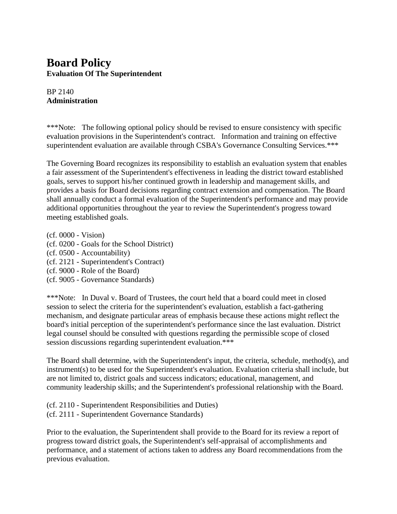### **Board Policy Evaluation Of The Superintendent**

#### BP 2140 **Administration**

\*\*\*Note: The following optional policy should be revised to ensure consistency with specific evaluation provisions in the Superintendent's contract. Information and training on effective superintendent evaluation are available through CSBA's Governance Consulting Services.\*\*\*

The Governing Board recognizes its responsibility to establish an evaluation system that enables a fair assessment of the Superintendent's effectiveness in leading the district toward established goals, serves to support his/her continued growth in leadership and management skills, and provides a basis for Board decisions regarding contract extension and compensation. The Board shall annually conduct a formal evaluation of the Superintendent's performance and may provide additional opportunities throughout the year to review the Superintendent's progress toward meeting established goals.

(cf. 0000 - Vision) (cf. 0200 - Goals for the School District) (cf. 0500 - Accountability) (cf. 2121 - Superintendent's Contract) (cf. 9000 - Role of the Board)

(cf. 9005 - Governance Standards)

\*\*\*Note: In Duval v. Board of Trustees, the court held that a board could meet in closed session to select the criteria for the superintendent's evaluation, establish a fact-gathering mechanism, and designate particular areas of emphasis because these actions might reflect the board's initial perception of the superintendent's performance since the last evaluation. District legal counsel should be consulted with questions regarding the permissible scope of closed session discussions regarding superintendent evaluation.\*\*\*

The Board shall determine, with the Superintendent's input, the criteria, schedule, method(s), and instrument(s) to be used for the Superintendent's evaluation. Evaluation criteria shall include, but are not limited to, district goals and success indicators; educational, management, and community leadership skills; and the Superintendent's professional relationship with the Board.

(cf. 2110 - Superintendent Responsibilities and Duties) (cf. 2111 - Superintendent Governance Standards)

Prior to the evaluation, the Superintendent shall provide to the Board for its review a report of progress toward district goals, the Superintendent's self-appraisal of accomplishments and performance, and a statement of actions taken to address any Board recommendations from the previous evaluation.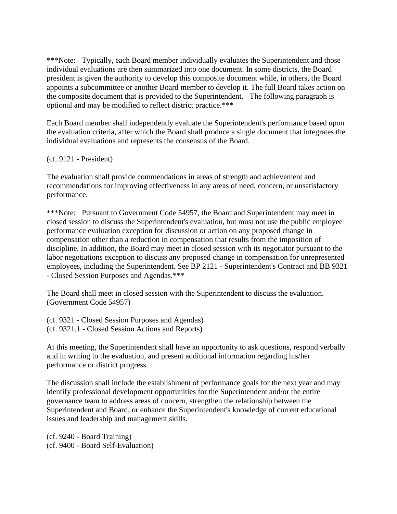\*\*\*Note: Typically, each Board member individually evaluates the Superintendent and those individual evaluations are then summarized into one document. In some districts, the Board president is given the authority to develop this composite document while, in others, the Board appoints a subcommittee or another Board member to develop it. The full Board takes action on the composite document that is provided to the Superintendent. The following paragraph is optional and may be modified to reflect district practice.\*\*\*

Each Board member shall independently evaluate the Superintendent's performance based upon the evaluation criteria, after which the Board shall produce a single document that integrates the individual evaluations and represents the consensus of the Board.

(cf. 9121 - President)

The evaluation shall provide commendations in areas of strength and achievement and recommendations for improving effectiveness in any areas of need, concern, or unsatisfactory performance.

\*\*\*Note: Pursuant to Government Code 54957, the Board and Superintendent may meet in closed session to discuss the Superintendent's evaluation, but must not use the public employee performance evaluation exception for discussion or action on any proposed change in compensation other than a reduction in compensation that results from the imposition of discipline. In addition, the Board may meet in closed session with its negotiator pursuant to the labor negotiations exception to discuss any proposed change in compensation for unrepresented employees, including the Superintendent. See BP 2121 - Superintendent's Contract and BB 9321 - Closed Session Purposes and Agendas.\*\*\*

The Board shall meet in closed session with the Superintendent to discuss the evaluation. (Government Code 54957)

(cf. 9321 - Closed Session Purposes and Agendas) (cf. 9321.1 - Closed Session Actions and Reports)

At this meeting, the Superintendent shall have an opportunity to ask questions, respond verbally and in writing to the evaluation, and present additional information regarding his/her performance or district progress.

The discussion shall include the establishment of performance goals for the next year and may identify professional development opportunities for the Superintendent and/or the entire governance team to address areas of concern, strengthen the relationship between the Superintendent and Board, or enhance the Superintendent's knowledge of current educational issues and leadership and management skills.

(cf. 9240 - Board Training) (cf. 9400 - Board Self-Evaluation)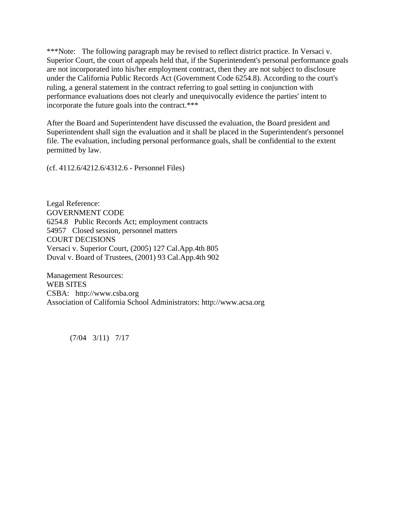\*\*\*Note: The following paragraph may be revised to reflect district practice. In Versaci v. Superior Court, the court of appeals held that, if the Superintendent's personal performance goals are not incorporated into his/her employment contract, then they are not subject to disclosure under the California Public Records Act (Government Code 6254.8). According to the court's ruling, a general statement in the contract referring to goal setting in conjunction with performance evaluations does not clearly and unequivocally evidence the parties' intent to incorporate the future goals into the contract.\*\*\*

After the Board and Superintendent have discussed the evaluation, the Board president and Superintendent shall sign the evaluation and it shall be placed in the Superintendent's personnel file. The evaluation, including personal performance goals, shall be confidential to the extent permitted by law.

(cf. 4112.6/4212.6/4312.6 - Personnel Files)

Legal Reference: GOVERNMENT CODE 6254.8 Public Records Act; employment contracts 54957 Closed session, personnel matters COURT DECISIONS Versaci v. Superior Court, (2005) 127 Cal.App.4th 805 Duval v. Board of Trustees, (2001) 93 Cal.App.4th 902

Management Resources: WEB SITES CSBA: http://www.csba.org Association of California School Administrators: http://www.acsa.org

(7/04 3/11) 7/17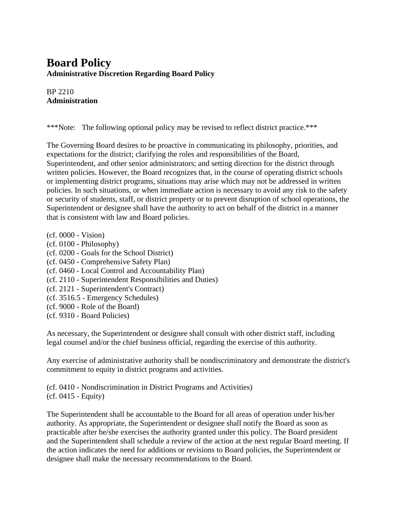# **Board Policy Administrative Discretion Regarding Board Policy**

BP 2210 **Administration**

\*\*\*Note: The following optional policy may be revised to reflect district practice.\*\*\*

The Governing Board desires to be proactive in communicating its philosophy, priorities, and expectations for the district; clarifying the roles and responsibilities of the Board, Superintendent, and other senior administrators; and setting direction for the district through written policies. However, the Board recognizes that, in the course of operating district schools or implementing district programs, situations may arise which may not be addressed in written policies. In such situations, or when immediate action is necessary to avoid any risk to the safety or security of students, staff, or district property or to prevent disruption of school operations, the Superintendent or designee shall have the authority to act on behalf of the district in a manner that is consistent with law and Board policies.

- (cf. 0000 Vision)
- (cf. 0100 Philosophy)
- (cf. 0200 Goals for the School District)
- (cf. 0450 Comprehensive Safety Plan)
- (cf. 0460 Local Control and Accountability Plan)
- (cf. 2110 Superintendent Responsibilities and Duties)
- (cf. 2121 Superintendent's Contract)
- (cf. 3516.5 Emergency Schedules)
- (cf. 9000 Role of the Board)
- (cf. 9310 Board Policies)

As necessary, the Superintendent or designee shall consult with other district staff, including legal counsel and/or the chief business official, regarding the exercise of this authority.

Any exercise of administrative authority shall be nondiscriminatory and demonstrate the district's commitment to equity in district programs and activities.

(cf. 0410 - Nondiscrimination in District Programs and Activities) (cf. 0415 - Equity)

The Superintendent shall be accountable to the Board for all areas of operation under his/her authority. As appropriate, the Superintendent or designee shall notify the Board as soon as practicable after he/she exercises the authority granted under this policy. The Board president and the Superintendent shall schedule a review of the action at the next regular Board meeting. If the action indicates the need for additions or revisions to Board policies, the Superintendent or designee shall make the necessary recommendations to the Board.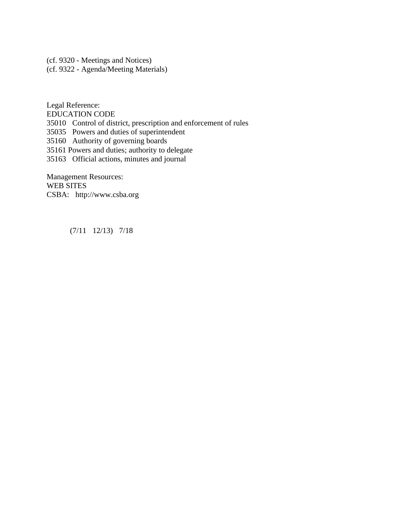(cf. 9320 - Meetings and Notices) (cf. 9322 - Agenda/Meeting Materials)

Legal Reference: EDUCATION CODE 35010 Control of district, prescription and enforcement of rules 35035 Powers and duties of superintendent 35160 Authority of governing boards 35161 Powers and duties; authority to delegate 35163 Official actions, minutes and journal

Management Resources: WEB SITES CSBA: http://www.csba.org

(7/11 12/13) 7/18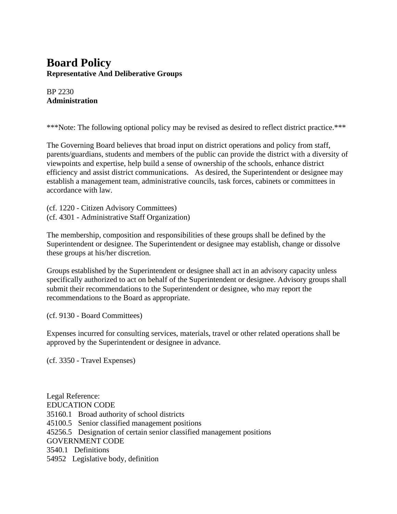## **Board Policy Representative And Deliberative Groups**

BP 2230 **Administration**

\*\*\*Note: The following optional policy may be revised as desired to reflect district practice.\*\*\*

The Governing Board believes that broad input on district operations and policy from staff, parents/guardians, students and members of the public can provide the district with a diversity of viewpoints and expertise, help build a sense of ownership of the schools, enhance district efficiency and assist district communications. As desired, the Superintendent or designee may establish a management team, administrative councils, task forces, cabinets or committees in accordance with law.

(cf. 1220 - Citizen Advisory Committees) (cf. 4301 - Administrative Staff Organization)

The membership, composition and responsibilities of these groups shall be defined by the Superintendent or designee. The Superintendent or designee may establish, change or dissolve these groups at his/her discretion.

Groups established by the Superintendent or designee shall act in an advisory capacity unless specifically authorized to act on behalf of the Superintendent or designee. Advisory groups shall submit their recommendations to the Superintendent or designee, who may report the recommendations to the Board as appropriate.

(cf. 9130 - Board Committees)

Expenses incurred for consulting services, materials, travel or other related operations shall be approved by the Superintendent or designee in advance.

(cf. 3350 - Travel Expenses)

Legal Reference: EDUCATION CODE 35160.1 Broad authority of school districts 45100.5 Senior classified management positions 45256.5 Designation of certain senior classified management positions GOVERNMENT CODE 3540.1 Definitions 54952 Legislative body, definition